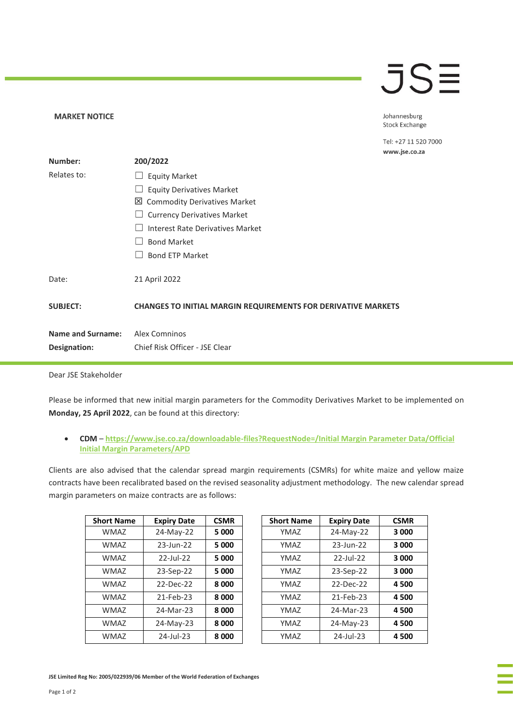## JSE

Johannesburg **Stock Exchange** 

Tel: +27 11 520 7000

|                          | www.jse.co.za                                                        |
|--------------------------|----------------------------------------------------------------------|
| Number:                  | 200/2022                                                             |
| Relates to:              | <b>Equity Market</b>                                                 |
|                          | <b>Equity Derivatives Market</b>                                     |
|                          | ⊠ Commodity Derivatives Market                                       |
|                          | <b>Currency Derivatives Market</b>                                   |
|                          | <b>Interest Rate Derivatives Market</b>                              |
|                          | <b>Bond Market</b>                                                   |
|                          | <b>Bond ETP Market</b>                                               |
| Date:                    | 21 April 2022                                                        |
| <b>SUBJECT:</b>          | <b>CHANGES TO INITIAL MARGIN REQUIREMENTS FOR DERIVATIVE MARKETS</b> |
| <b>Name and Surname:</b> | <b>Alex Comninos</b>                                                 |
| Designation:             | Chief Risk Officer - JSE Clear                                       |
|                          |                                                                      |
|                          |                                                                      |

Dear JSE Stakeholder

**MARKET NOTICE** 

Please be informed that new initial margin parameters for the Commodity Derivatives Market to be implemented on **Monday, 25 April 2022**, can be found at this directory:

• **CDM** – **[https://www.jse.co.za/downloadable-files?RequestNode=/Initial Margin Parameter Data/Official](https://www.jse.co.za/downloadable-files?RequestNode=/Initial%20Margin%20Parameter%20Data/Official%20Initial%20Margin%20Parameters/APD)  [Initial Margin Parameters/APD](https://www.jse.co.za/downloadable-files?RequestNode=/Initial%20Margin%20Parameter%20Data/Official%20Initial%20Margin%20Parameters/APD)**

Clients are also advised that the calendar spread margin requirements (CSMRs) for white maize and yellow maize contracts have been recalibrated based on the revised seasonality adjustment methodology. The new calendar spread margin parameters on maize contracts are as follows:

| <b>Short Name</b> | <b>Expiry Date</b> | <b>CSMR</b> | <b>Short Name</b> | <b>Expiry Date</b> | <b>CSMR</b> |
|-------------------|--------------------|-------------|-------------------|--------------------|-------------|
| <b>WMAZ</b>       | 24-May-22          | 5 000       | YMAZ              | 24-May-22          | 3 000       |
| <b>WMAZ</b>       | $23$ -Jun- $22$    | 5 0 0 0     | YMAZ              | 23-Jun-22          | 3 000       |
| <b>WMAZ</b>       | $22$ -Jul-22       | 5 0 0 0     | YMAZ              | $22$ -Jul-22       | 3 000       |
| <b>WMAZ</b>       | 23-Sep-22          | 5 0 0 0     | YMAZ              | 23-Sep-22          | 3 000       |
| <b>WMAZ</b>       | $22-Dec-22$        | 8 0 0 0     | YMAZ              | 22-Dec-22          | 4 500       |
| <b>WMAZ</b>       | 21-Feb-23          | 8 0 0 0     | YMAZ              | 21-Feb-23          | 4 500       |
| <b>WMAZ</b>       | 24-Mar-23          | 8000        | YMAZ              | 24-Mar-23          | 4 500       |
| <b>WMAZ</b>       | 24-May-23          | 8 0 0 0     | YMAZ              | 24-May-23          | 4500        |
| <b>WMAZ</b>       | 24-Jul-23          | 8 0 0 0     | YMAZ              | 24-Jul-23          | 4500        |
|                   |                    |             |                   |                    |             |

| ort Name    | <b>Expiry Date</b> | <b>CSMR</b> | <b>Short Name</b> | <b>Expiry Date</b> | <b>CSMR</b> |
|-------------|--------------------|-------------|-------------------|--------------------|-------------|
| <b>WMAZ</b> | 24-May-22          | 5 0 0 0     | YMAZ              | 24-May-22          | 3 000       |
| <b>WMAZ</b> | 23-Jun-22          | 5 0 0 0     | YMAZ              | 23-Jun-22          | 3 000       |
| <b>WMAZ</b> | $22$ -Jul-22       | 5 0 0 0     | YMAZ              | $22$ -Jul-22       | 3 000       |
| <b>WMAZ</b> | 23-Sep-22          | 5 0 0 0     | YMAZ              | 23-Sep-22          | 3 000       |
| <b>WMAZ</b> | 22-Dec-22          | 8 0 0 0     | YMAZ              | 22-Dec-22          | 4 500       |
| <b>WMAZ</b> | 21-Feb-23          | 8 0 0 0     | YMAZ              | 21-Feb-23          | 4 500       |
| <b>WMAZ</b> | 24-Mar-23          | 8 0 0 0     | YMAZ              | 24-Mar-23          | 4 500       |
| <b>WMAZ</b> | 24-May-23          | 8 0 0 0     | YMAZ              | 24-May-23          | 4 500       |
| <b>WMAZ</b> | $24$ -Jul-23       | 8 0 0 0     | YMAZ              | 24-Jul-23          | 4 500       |

**JSE Limited Reg No: 2005/022939/06 Member of the World Federation of Exchanges**